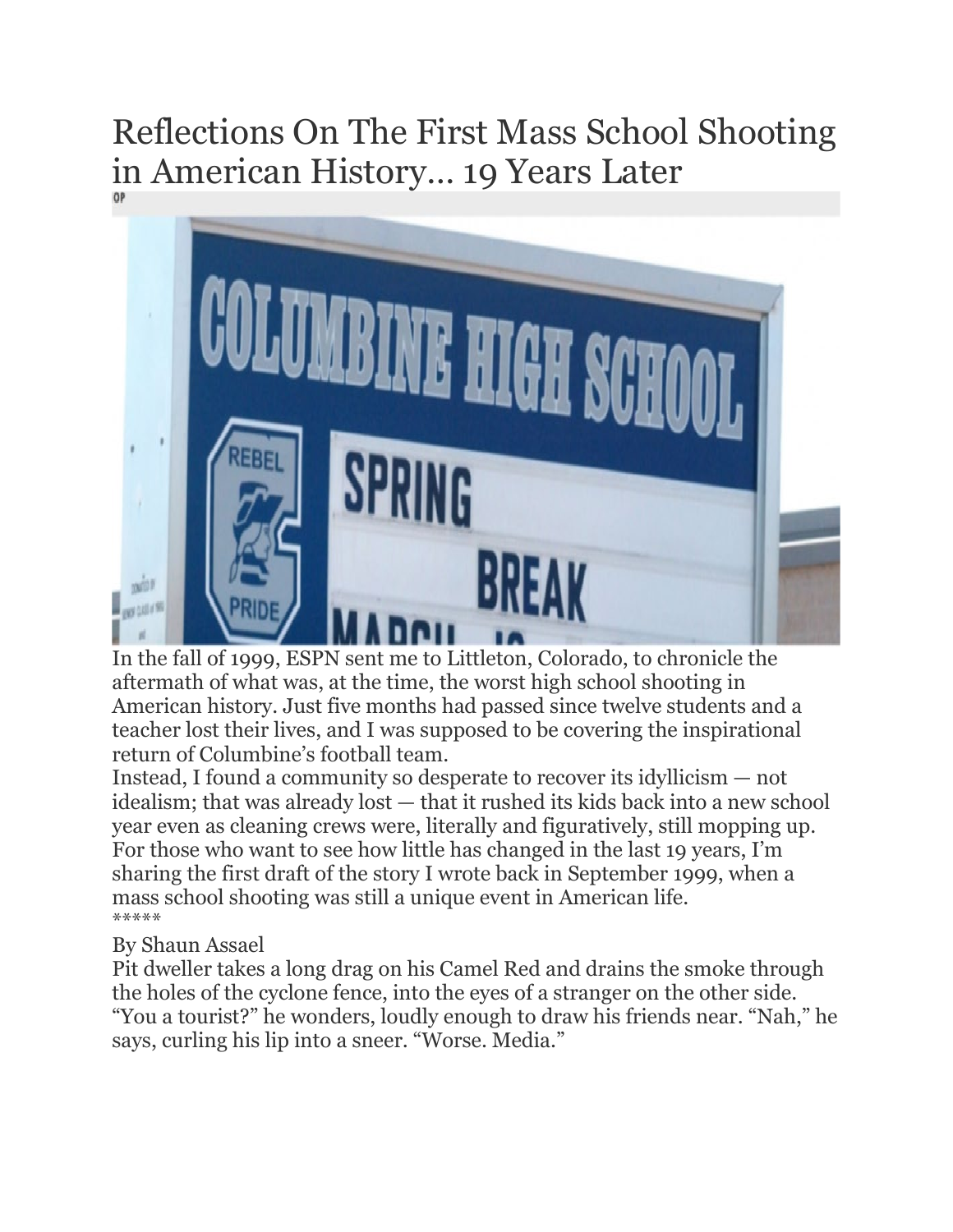## Reflections On The First Mass School Shooting in American History… 19 Years Later



In the fall of 1999, ESPN sent me to Littleton, Colorado, to chronicle the aftermath of what was, at the time, the worst high school shooting in American history. Just five months had passed since twelve students and a teacher lost their lives, and I was supposed to be covering the inspirational return of Columbine's football team.

Instead, I found a community so desperate to recover its idyllicism — not idealism; that was already lost — that it rushed its kids back into a new school year even as cleaning crews were, literally and figuratively, still mopping up. For those who want to see how little has changed in the last 19 years, I'm sharing the first draft of the story I wrote back in September 1999, when a mass school shooting was still a unique event in American life. \*\*\*\*\*

## By Shaun Assael

Pit dweller takes a long drag on his Camel Red and drains the smoke through the holes of the cyclone fence, into the eyes of a stranger on the other side. "You a tourist?" he wonders, loudly enough to draw his friends near. "Nah," he says, curling his lip into a sneer. "Worse. Media."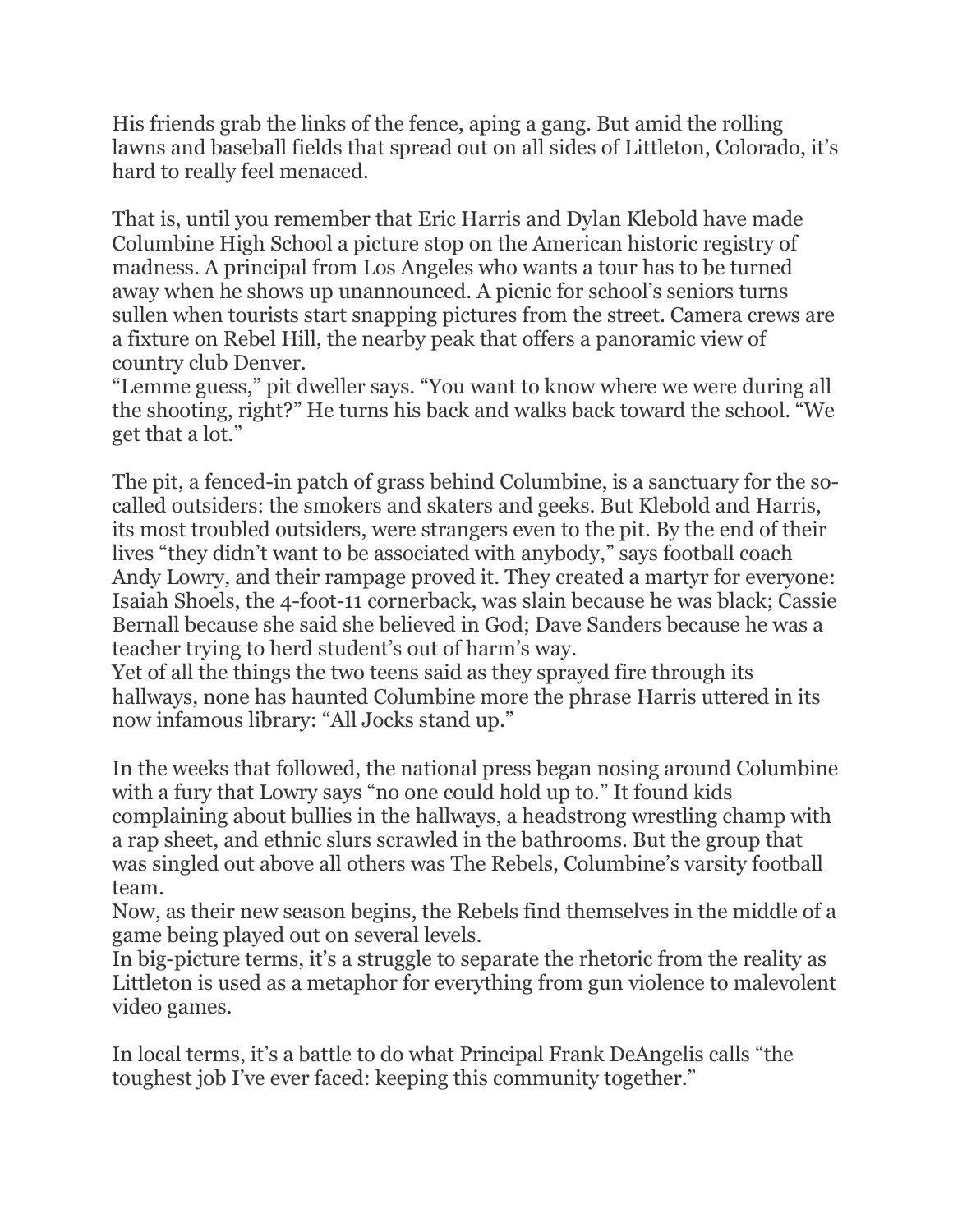His friends grab the links of the fence, aping a gang. But amid the rolling lawns and baseball fields that spread out on all sides of Littleton, Colorado, it's hard to really feel menaced.

That is, until you remember that Eric Harris and Dylan Klebold have made Columbine High School a picture stop on the American historic registry of madness. A principal from Los Angeles who wants a tour has to be turned away when he shows up unannounced. A picnic for school's seniors turns sullen when tourists start snapping pictures from the street. Camera crews are a fixture on Rebel Hill, the nearby peak that offers a panoramic view of country club Denver.

"Lemme guess," pit dweller says. "You want to know where we were during all the shooting, right?" He turns his back and walks back toward the school. "We get that a lot."

The pit, a fenced-in patch of grass behind Columbine, is a sanctuary for the socalled outsiders: the smokers and skaters and geeks. But Klebold and Harris, its most troubled outsiders, were strangers even to the pit. By the end of their lives "they didn't want to be associated with anybody," says football coach Andy Lowry, and their rampage proved it. They created a martyr for everyone: Isaiah Shoels, the 4-foot-11 cornerback, was slain because he was black; Cassie Bernall because she said she believed in God; Dave Sanders because he was a teacher trying to herd student's out of harm's way.

Yet of all the things the two teens said as they sprayed fire through its hallways, none has haunted Columbine more the phrase Harris uttered in its now infamous library: "All Jocks stand up."

In the weeks that followed, the national press began nosing around Columbine with a fury that Lowry says "no one could hold up to." It found kids complaining about bullies in the hallways, a headstrong wrestling champ with a rap sheet, and ethnic slurs scrawled in the bathrooms. But the group that was singled out above all others was The Rebels, Columbine's varsity football team.

Now, as their new season begins, the Rebels find themselves in the middle of a game being played out on several levels.

In big-picture terms, it's a struggle to separate the rhetoric from the reality as Littleton is used as a metaphor for everything from gun violence to malevolent video games.

In local terms, it's a battle to do what Principal Frank DeAngelis calls "the toughest job I've ever faced: keeping this community together."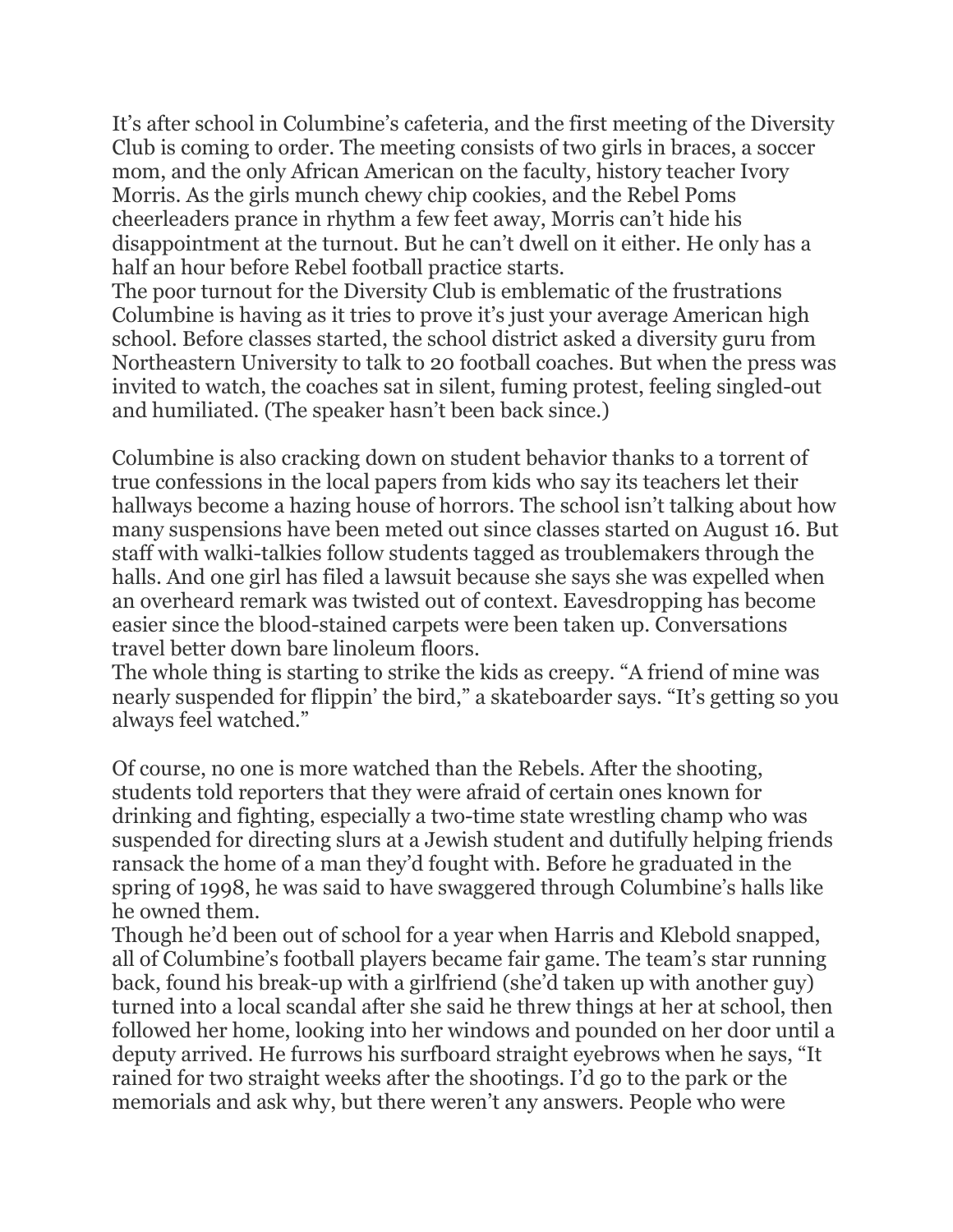It's after school in Columbine's cafeteria, and the first meeting of the Diversity Club is coming to order. The meeting consists of two girls in braces, a soccer mom, and the only African American on the faculty, history teacher Ivory Morris. As the girls munch chewy chip cookies, and the Rebel Poms cheerleaders prance in rhythm a few feet away, Morris can't hide his disappointment at the turnout. But he can't dwell on it either. He only has a half an hour before Rebel football practice starts.

The poor turnout for the Diversity Club is emblematic of the frustrations Columbine is having as it tries to prove it's just your average American high school. Before classes started, the school district asked a diversity guru from Northeastern University to talk to 20 football coaches. But when the press was invited to watch, the coaches sat in silent, fuming protest, feeling singled-out and humiliated. (The speaker hasn't been back since.)

Columbine is also cracking down on student behavior thanks to a torrent of true confessions in the local papers from kids who say its teachers let their hallways become a hazing house of horrors. The school isn't talking about how many suspensions have been meted out since classes started on August 16. But staff with walki-talkies follow students tagged as troublemakers through the halls. And one girl has filed a lawsuit because she says she was expelled when an overheard remark was twisted out of context. Eavesdropping has become easier since the blood-stained carpets were been taken up. Conversations travel better down bare linoleum floors.

The whole thing is starting to strike the kids as creepy. "A friend of mine was nearly suspended for flippin' the bird," a skateboarder says. "It's getting so you always feel watched."

Of course, no one is more watched than the Rebels. After the shooting, students told reporters that they were afraid of certain ones known for drinking and fighting, especially a two-time state wrestling champ who was suspended for directing slurs at a Jewish student and dutifully helping friends ransack the home of a man they'd fought with. Before he graduated in the spring of 1998, he was said to have swaggered through Columbine's halls like he owned them.

Though he'd been out of school for a year when Harris and Klebold snapped, all of Columbine's football players became fair game. The team's star running back, found his break-up with a girlfriend (she'd taken up with another guy) turned into a local scandal after she said he threw things at her at school, then followed her home, looking into her windows and pounded on her door until a deputy arrived. He furrows his surfboard straight eyebrows when he says, "It rained for two straight weeks after the shootings. I'd go to the park or the memorials and ask why, but there weren't any answers. People who were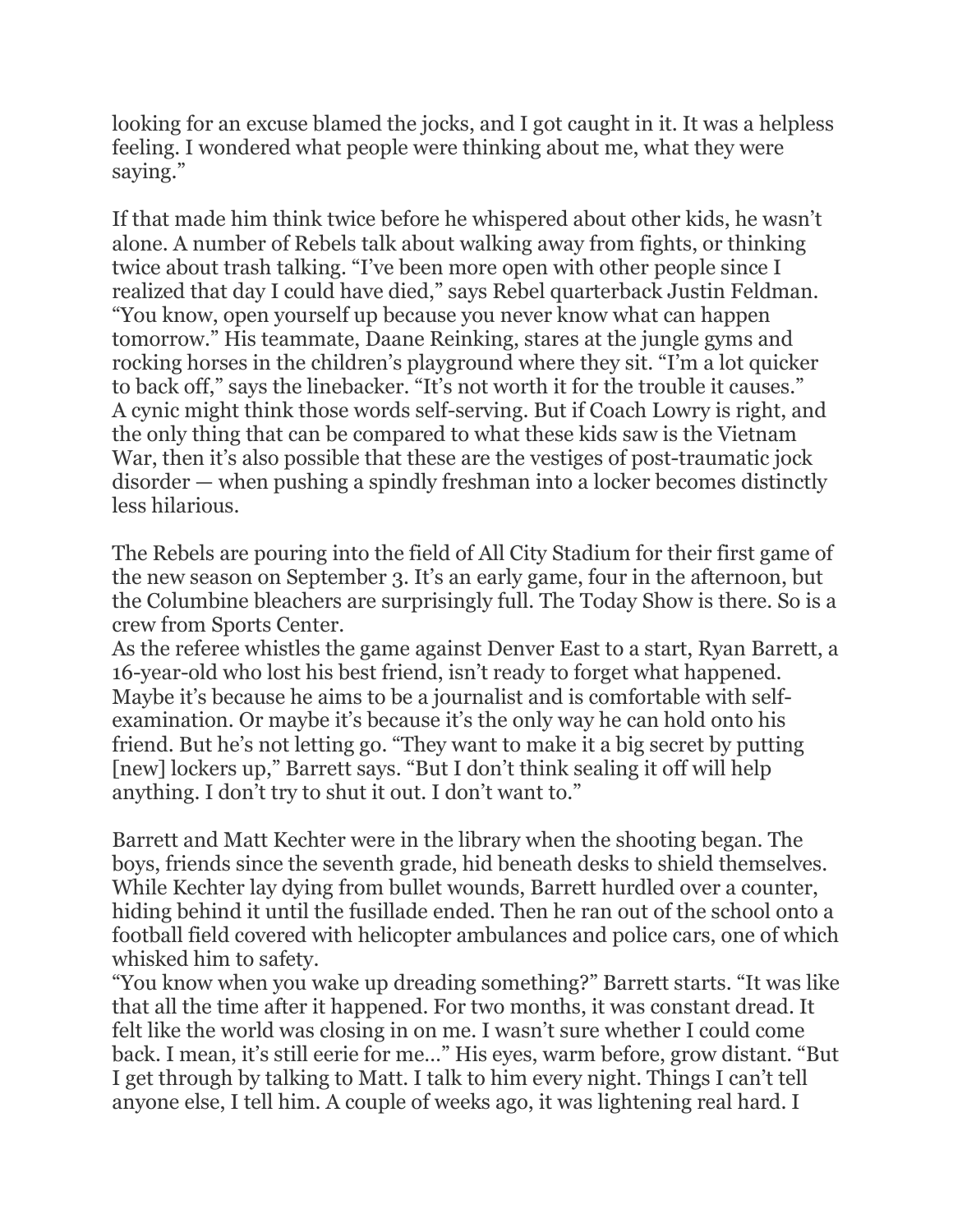looking for an excuse blamed the jocks, and I got caught in it. It was a helpless feeling. I wondered what people were thinking about me, what they were saying."

If that made him think twice before he whispered about other kids, he wasn't alone. A number of Rebels talk about walking away from fights, or thinking twice about trash talking. "I've been more open with other people since I realized that day I could have died," says Rebel quarterback Justin Feldman. "You know, open yourself up because you never know what can happen tomorrow." His teammate, Daane Reinking, stares at the jungle gyms and rocking horses in the children's playground where they sit. "I'm a lot quicker to back off," says the linebacker. "It's not worth it for the trouble it causes." A cynic might think those words self-serving. But if Coach Lowry is right, and the only thing that can be compared to what these kids saw is the Vietnam War, then it's also possible that these are the vestiges of post-traumatic jock disorder — when pushing a spindly freshman into a locker becomes distinctly less hilarious.

The Rebels are pouring into the field of All City Stadium for their first game of the new season on September 3. It's an early game, four in the afternoon, but the Columbine bleachers are surprisingly full. The Today Show is there. So is a crew from Sports Center.

As the referee whistles the game against Denver East to a start, Ryan Barrett, a 16-year-old who lost his best friend, isn't ready to forget what happened. Maybe it's because he aims to be a journalist and is comfortable with selfexamination. Or maybe it's because it's the only way he can hold onto his friend. But he's not letting go. "They want to make it a big secret by putting [new] lockers up," Barrett says. "But I don't think sealing it off will help anything. I don't try to shut it out. I don't want to."

Barrett and Matt Kechter were in the library when the shooting began. The boys, friends since the seventh grade, hid beneath desks to shield themselves. While Kechter lay dying from bullet wounds, Barrett hurdled over a counter, hiding behind it until the fusillade ended. Then he ran out of the school onto a football field covered with helicopter ambulances and police cars, one of which whisked him to safety.

"You know when you wake up dreading something?" Barrett starts. "It was like that all the time after it happened. For two months, it was constant dread. It felt like the world was closing in on me. I wasn't sure whether I could come back. I mean, it's still eerie for me…" His eyes, warm before, grow distant. "But I get through by talking to Matt. I talk to him every night. Things I can't tell anyone else, I tell him. A couple of weeks ago, it was lightening real hard. I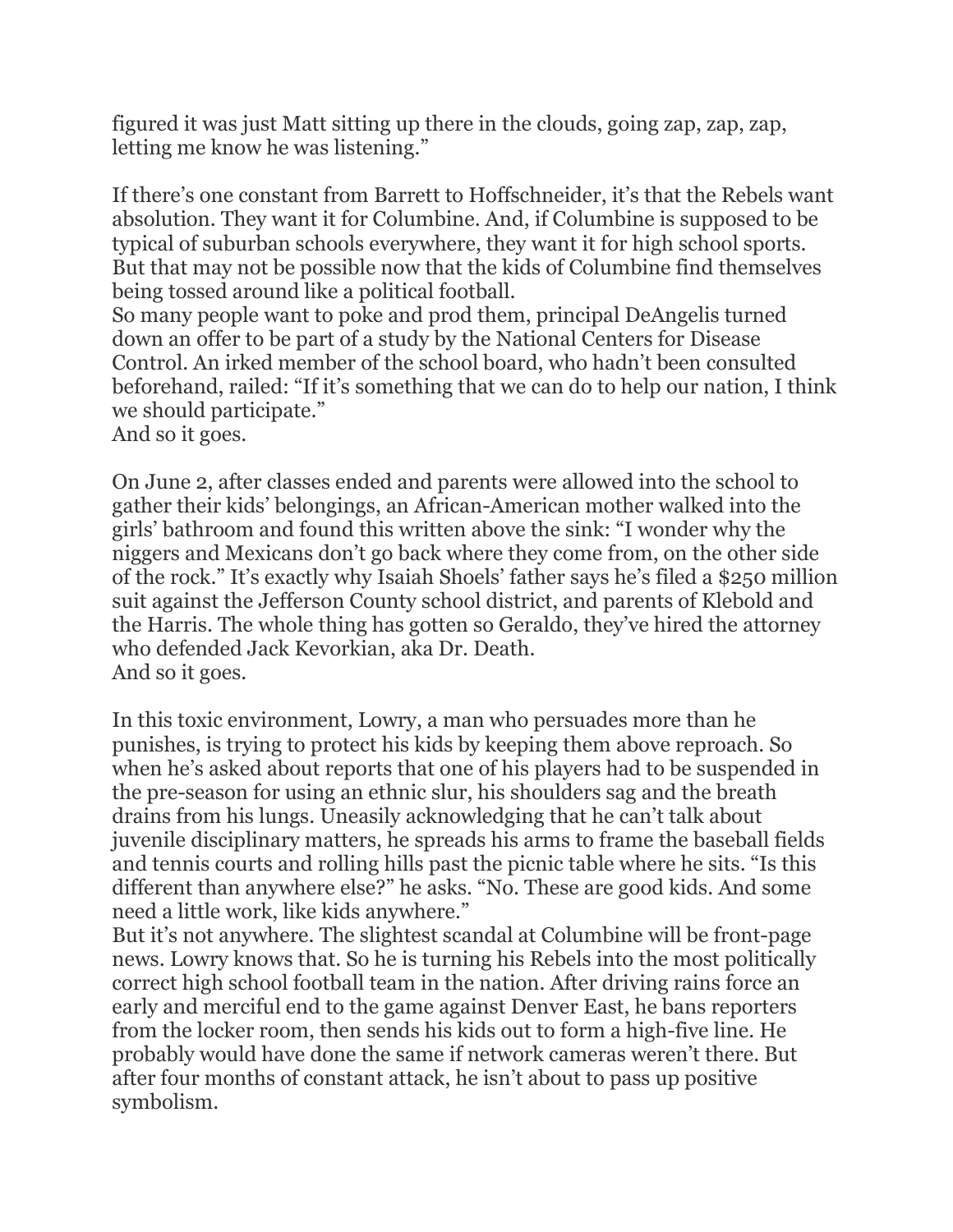figured it was just Matt sitting up there in the clouds, going zap, zap, zap, letting me know he was listening."

If there's one constant from Barrett to Hoffschneider, it's that the Rebels want absolution. They want it for Columbine. And, if Columbine is supposed to be typical of suburban schools everywhere, they want it for high school sports. But that may not be possible now that the kids of Columbine find themselves being tossed around like a political football.

So many people want to poke and prod them, principal DeAngelis turned down an offer to be part of a study by the National Centers for Disease Control. An irked member of the school board, who hadn't been consulted beforehand, railed: "If it's something that we can do to help our nation, I think we should participate."

And so it goes.

On June 2, after classes ended and parents were allowed into the school to gather their kids' belongings, an African-American mother walked into the girls' bathroom and found this written above the sink: "I wonder why the niggers and Mexicans don't go back where they come from, on the other side of the rock." It's exactly why Isaiah Shoels' father says he's filed a \$250 million suit against the Jefferson County school district, and parents of Klebold and the Harris. The whole thing has gotten so Geraldo, they've hired the attorney who defended Jack Kevorkian, aka Dr. Death. And so it goes.

In this toxic environment, Lowry, a man who persuades more than he punishes, is trying to protect his kids by keeping them above reproach. So when he's asked about reports that one of his players had to be suspended in the pre-season for using an ethnic slur, his shoulders sag and the breath drains from his lungs. Uneasily acknowledging that he can't talk about juvenile disciplinary matters, he spreads his arms to frame the baseball fields and tennis courts and rolling hills past the picnic table where he sits. "Is this different than anywhere else?" he asks. "No. These are good kids. And some need a little work, like kids anywhere."

But it's not anywhere. The slightest scandal at Columbine will be front-page news. Lowry knows that. So he is turning his Rebels into the most politically correct high school football team in the nation. After driving rains force an early and merciful end to the game against Denver East, he bans reporters from the locker room, then sends his kids out to form a high-five line. He probably would have done the same if network cameras weren't there. But after four months of constant attack, he isn't about to pass up positive symbolism.